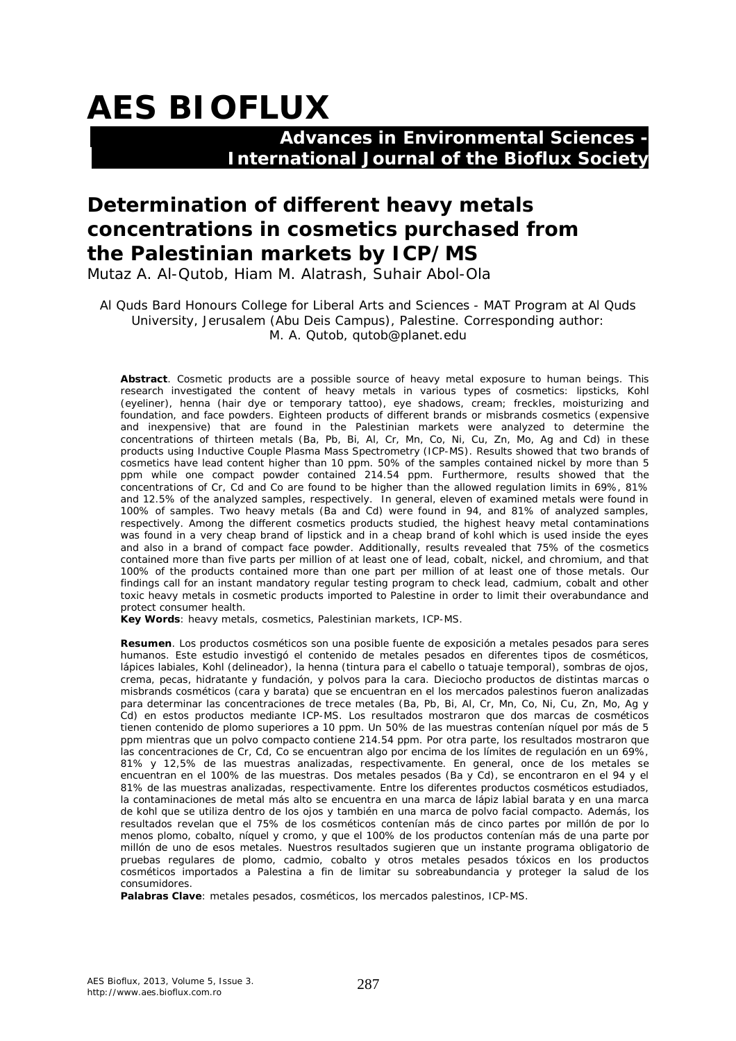# **AES BIOFLUX**

## **Advances in Environmental Sciences - International Journal of the Bioflux Society**

## **Determination of different heavy metals concentrations in cosmetics purchased from the Palestinian markets by ICP/MS**

Mutaz A. Al-Qutob, Hiam M. Alatrash, Suhair Abol-Ola

Al Quds Bard Honours College for Liberal Arts and Sciences - MAT Program at Al Quds University, Jerusalem (Abu Deis Campus), Palestine. Corresponding author: M. A. Qutob, qutob@planet.edu

**Abstract**. Cosmetic products are a possible source of heavy metal exposure to human beings. This research investigated the content of heavy metals in various types of cosmetics: lipsticks, Kohl (eyeliner), henna (hair dye or temporary tattoo), eye shadows, cream; freckles, moisturizing and foundation, and face powders. Eighteen products of different brands or misbrands cosmetics (expensive and inexpensive) that are found in the Palestinian markets were analyzed to determine the concentrations of thirteen metals (Ba, Pb, Bi, Al, Cr, Mn, Co, Ni, Cu, Zn, Mo, Ag and Cd) in these products using Inductive Couple Plasma Mass Spectrometry (ICP-MS). Results showed that two brands of cosmetics have lead content higher than 10 ppm. 50% of the samples contained nickel by more than 5 ppm while one compact powder contained 214.54 ppm. Furthermore, results showed that the concentrations of Cr, Cd and Co are found to be higher than the allowed regulation limits in 69%, 81% and 12.5% of the analyzed samples, respectively. In general, eleven of examined metals were found in 100% of samples. Two heavy metals (Ba and Cd) were found in 94, and 81% of analyzed samples, respectively. Among the different cosmetics products studied, the highest heavy metal contaminations was found in a very cheap brand of lipstick and in a cheap brand of kohl which is used inside the eyes and also in a brand of compact face powder. Additionally, results revealed that 75% of the cosmetics contained more than five parts per million of at least one of lead, cobalt, nickel, and chromium, and that 100% of the products contained more than one part per million of at least one of those metals. Our findings call for an instant mandatory regular testing program to check lead, cadmium, cobalt and other toxic heavy metals in cosmetic products imported to Palestine in order to limit their overabundance and protect consumer health.

**Key Words**: heavy metals, cosmetics, Palestinian markets, ICP-MS.

**Resumen**. Los productos cosméticos son una posible fuente de exposición a metales pesados para seres humanos. Este estudio investigó el contenido de metales pesados en diferentes tipos de cosméticos, lápices labiales, Kohl (delineador), la henna (tintura para el cabello o tatuaje temporal), sombras de ojos, crema, pecas, hidratante y fundación, y polvos para la cara. Dieciocho productos de distintas marcas o misbrands cosméticos (cara y barata) que se encuentran en el los mercados palestinos fueron analizadas para determinar las concentraciones de trece metales (Ba, Pb, Bi, Al, Cr, Mn, Co, Ni, Cu, Zn, Mo, Ag y Cd) en estos productos mediante ICP-MS. Los resultados mostraron que dos marcas de cosméticos tienen contenido de plomo superiores a 10 ppm. Un 50% de las muestras contenían níquel por más de 5 ppm mientras que un polvo compacto contiene 214.54 ppm. Por otra parte, los resultados mostraron que las concentraciones de Cr, Cd, Co se encuentran algo por encima de los límites de regulación en un 69%, 81% y 12,5% de las muestras analizadas, respectivamente. En general, once de los metales se encuentran en el 100% de las muestras. Dos metales pesados (Ba y Cd), se encontraron en el 94 y el 81% de las muestras analizadas, respectivamente. Entre los diferentes productos cosméticos estudiados, la contaminaciones de metal más alto se encuentra en una marca de lápiz labial barata y en una marca de kohl que se utiliza dentro de los ojos y también en una marca de polvo facial compacto. Además, los resultados revelan que el 75% de los cosméticos contenían más de cinco partes por millón de por lo menos plomo, cobalto, níquel y cromo, y que el 100% de los productos contenían más de una parte por millón de uno de esos metales. Nuestros resultados sugieren que un instante programa obligatorio de pruebas regulares de plomo, cadmio, cobalto y otros metales pesados tóxicos en los productos cosméticos importados a Palestina a fin de limitar su sobreabundancia y proteger la salud de los consumidores.

**Palabras Clave**: metales pesados, cosméticos, los mercados palestinos, ICP-MS.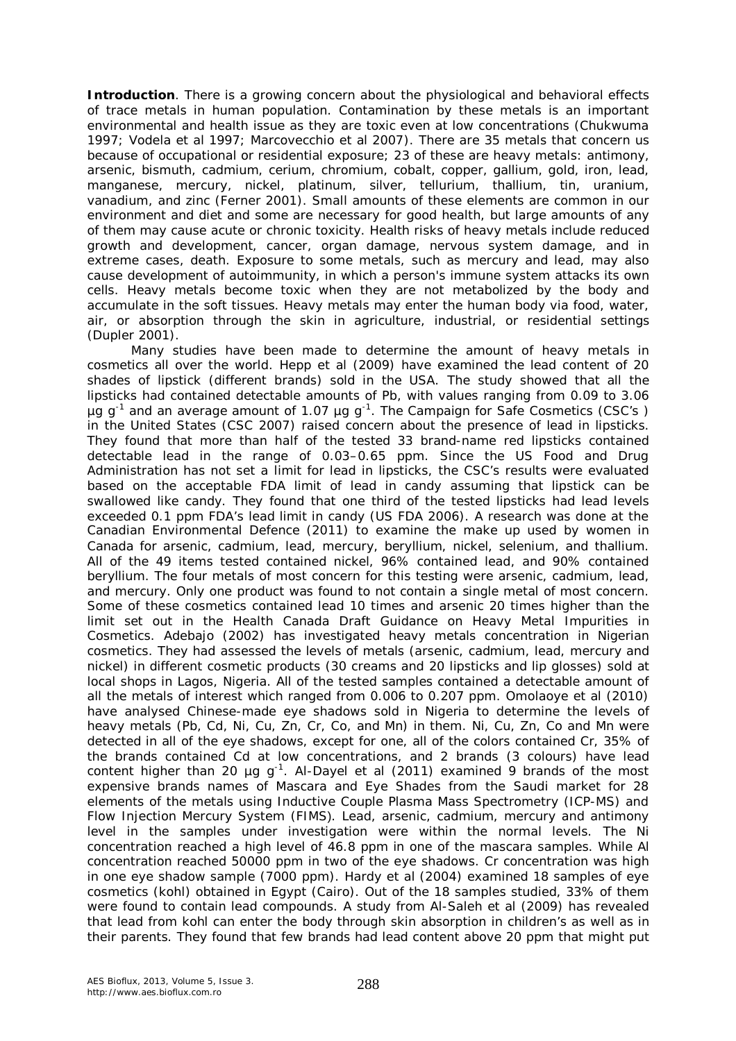**Introduction**. There is a growing concern about the physiological and behavioral effects of trace metals in human population. Contamination by these metals is an important environmental and health issue as they are toxic even at low concentrations (Chukwuma 1997; Vodela et al 1997; Marcovecchio et al 2007). There are 35 metals that concern us because of occupational or residential exposure; 23 of these are heavy metals: antimony, arsenic, bismuth, cadmium, cerium, chromium, cobalt, copper, gallium, gold, iron, lead, manganese, mercury, nickel, platinum, silver, tellurium, thallium, tin, uranium, vanadium, and zinc (Ferner 2001). Small amounts of these elements are common in our environment and diet and some are necessary for good health, but large amounts of any of them may cause acute or chronic toxicity. Health risks of heavy metals include reduced growth and development, cancer, organ damage, nervous system damage, and in extreme cases, death. Exposure to some metals, such as mercury and lead, may also cause development of autoimmunity, in which a person's immune system attacks its own cells. Heavy metals become toxic when they are not metabolized by the body and accumulate in the soft tissues. Heavy metals may enter the human body via food, water, air, or absorption through the skin in agriculture, industrial, or residential settings (Dupler 2001).

Many studies have been made to determine the amount of heavy metals in cosmetics all over the world. Hepp et al (2009) have examined the lead content of 20 shades of lipstick (different brands) sold in the USA. The study showed that all the lipsticks had contained detectable amounts of Pb, with values ranging from 0.09 to 3.06  $\mu$ g g<sup>-1</sup> and an average amount of 1.07  $\mu$ g g<sup>-1</sup>. The Campaign for Safe Cosmetics (CSC's) in the United States (CSC 2007) raised concern about the presence of lead in lipsticks. They found that more than half of the tested 33 brand-name red lipsticks contained detectable lead in the range of 0.03–0.65 ppm. Since the US Food and Drug Administration has not set a limit for lead in lipsticks, the CSC's results were evaluated based on the acceptable FDA limit of lead in candy assuming that lipstick can be swallowed like candy. They found that one third of the tested lipsticks had lead levels exceeded 0.1 ppm FDA's lead limit in candy (US FDA 2006). A research was done at the Canadian Environmental Defence (2011) to examine the make up used by women in Canada for arsenic, cadmium, lead, mercury, beryllium, nickel, selenium, and thallium. All of the 49 items tested contained nickel, 96% contained lead, and 90% contained beryllium. The four metals of most concern for this testing were arsenic, cadmium, lead, and mercury. Only one product was found to not contain a single metal of most concern. Some of these cosmetics contained lead 10 times and arsenic 20 times higher than the limit set out in the Health Canada Draft Guidance on Heavy Metal Impurities in Cosmetics. Adebajo (2002) has investigated heavy metals concentration in Nigerian cosmetics. They had assessed the levels of metals (arsenic, cadmium, lead, mercury and nickel) in different cosmetic products (30 creams and 20 lipsticks and lip glosses) sold at local shops in Lagos, Nigeria. All of the tested samples contained a detectable amount of all the metals of interest which ranged from 0.006 to 0.207 ppm. Omolaoye et al (2010) have analysed Chinese-made eye shadows sold in Nigeria to determine the levels of heavy metals (Pb, Cd, Ni, Cu, Zn, Cr, Co, and Mn) in them. Ni, Cu, Zn, Co and Mn were detected in all of the eye shadows, except for one, all of the colors contained Cr, 35% of the brands contained Cd at low concentrations, and 2 brands (3 colours) have lead content higher than 20  $\mu$ g g<sup>-1</sup>. Al-Dayel et al (2011) examined 9 brands of the most expensive brands names of Mascara and Eye Shades from the Saudi market for 28 elements of the metals using Inductive Couple Plasma Mass Spectrometry (ICP-MS) and Flow Injection Mercury System (FIMS). Lead, arsenic, cadmium, mercury and antimony level in the samples under investigation were within the normal levels. The Ni concentration reached a high level of 46.8 ppm in one of the mascara samples. While Al concentration reached 50000 ppm in two of the eye shadows. Cr concentration was high in one eye shadow sample (7000 ppm). Hardy et al (2004) examined 18 samples of eye cosmetics (kohl) obtained in Egypt (Cairo). Out of the 18 samples studied, 33% of them were found to contain lead compounds. A study from Al-Saleh et al (2009) has revealed that lead from kohl can enter the body through skin absorption in children's as well as in their parents. They found that few brands had lead content above 20 ppm that might put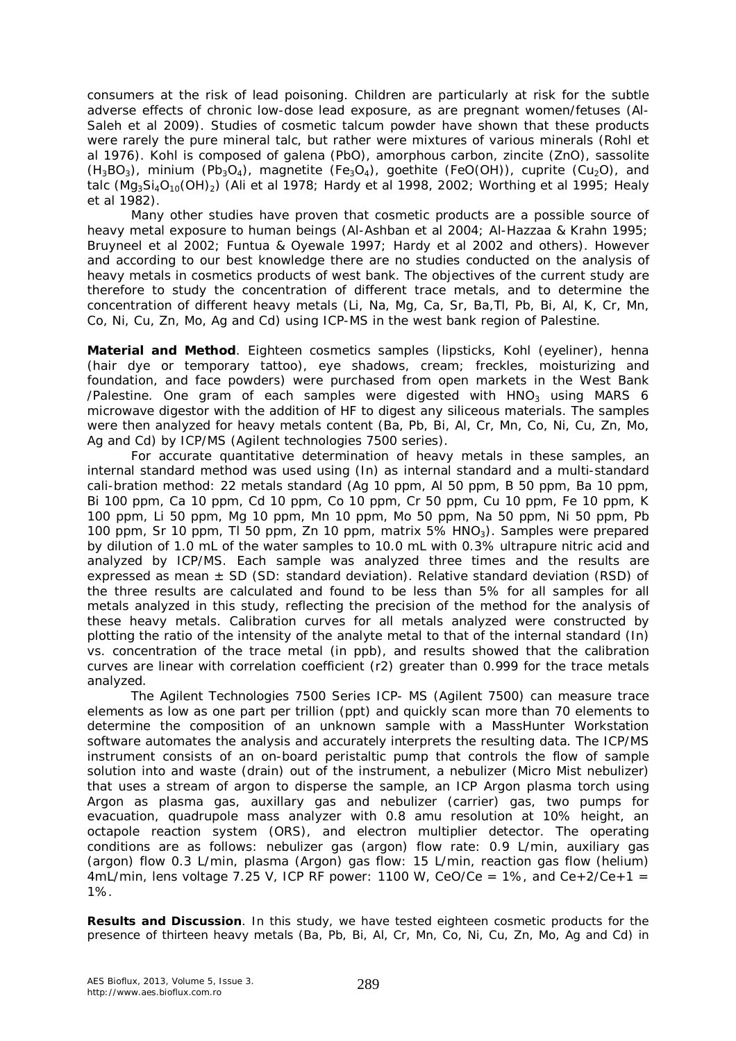consumers at the risk of lead poisoning. Children are particularly at risk for the subtle adverse effects of chronic low-dose lead exposure, as are pregnant women/fetuses (Al-Saleh et al 2009). Studies of cosmetic talcum powder have shown that these products were rarely the pure mineral talc, but rather were mixtures of various minerals (Rohl et al 1976). Kohl is composed of galena (PbO), amorphous carbon, zincite (ZnO), sassolite  $(H_3BO_3)$ , minium  $(Pb_3O_4)$ , magnetite  $(Fe_3O_4)$ , goethite (FeO(OH)), cuprite (Cu<sub>2</sub>O), and talc ( $MqsSi<sub>4</sub>O<sub>10</sub>(OH)<sub>2</sub>$ ) (Ali et al 1978; Hardy et al 1998, 2002; Worthing et al 1995; Healy et al 1982).

Many other studies have proven that cosmetic products are a possible source of heavy metal exposure to human beings (Al-Ashban et al 2004; Al-Hazzaa & Krahn 1995; Bruyneel et al 2002; Funtua & Oyewale 1997; Hardy et al 2002 and others). However and according to our best knowledge there are no studies conducted on the analysis of heavy metals in cosmetics products of west bank. The objectives of the current study are therefore to study the concentration of different trace metals, and to determine the concentration of different heavy metals (Li, Na, Mg, Ca, Sr, Ba,Tl, Pb, Bi, Al, K, Cr, Mn, Co, Ni, Cu, Zn, Mo, Ag and Cd) using ICP-MS in the west bank region of Palestine.

**Material and Method**. Eighteen cosmetics samples (lipsticks, Kohl (eyeliner), henna (hair dye or temporary tattoo), eye shadows, cream; freckles, moisturizing and foundation, and face powders) were purchased from open markets in the West Bank /Palestine. One gram of each samples were digested with  $HNO<sub>3</sub>$  using MARS 6 microwave digestor with the addition of HF to digest any siliceous materials. The samples were then analyzed for heavy metals content (Ba, Pb, Bi, Al, Cr, Mn, Co, Ni, Cu, Zn, Mo, Ag and Cd) by ICP/MS (Agilent technologies 7500 series).

For accurate quantitative determination of heavy metals in these samples, an internal standard method was used using (In) as internal standard and a multi-standard cali-bration method: 22 metals standard (Ag 10 ppm, Al 50 ppm, B 50 ppm, Ba 10 ppm, Bi 100 ppm, Ca 10 ppm, Cd 10 ppm, Co 10 ppm, Cr 50 ppm, Cu 10 ppm, Fe 10 ppm, K 100 ppm, Li 50 ppm, Mg 10 ppm, Mn 10 ppm, Mo 50 ppm, Na 50 ppm, Ni 50 ppm, Pb 100 ppm, Sr 10 ppm, Tl 50 ppm, Zn 10 ppm, matrix  $5\%$  HNO<sub>3</sub>). Samples were prepared by dilution of 1.0 mL of the water samples to 10.0 mL with 0.3% ultrapure nitric acid and analyzed by ICP/MS. Each sample was analyzed three times and the results are expressed as mean  $\pm$  SD (SD: standard deviation). Relative standard deviation (RSD) of the three results are calculated and found to be less than 5% for all samples for all metals analyzed in this study, reflecting the precision of the method for the analysis of these heavy metals. Calibration curves for all metals analyzed were constructed by plotting the ratio of the intensity of the analyte metal to that of the internal standard (In) vs. concentration of the trace metal (in ppb), and results showed that the calibration curves are linear with correlation coefficient (r2) greater than 0.999 for the trace metals analyzed.

The Agilent Technologies 7500 Series ICP- MS (Agilent 7500) can measure trace elements as low as one part per trillion (ppt) and quickly scan more than 70 elements to determine the composition of an unknown sample with a MassHunter Workstation software automates the analysis and accurately interprets the resulting data. The ICP/MS instrument consists of an on-board peristaltic pump that controls the flow of sample solution into and waste (drain) out of the instrument, a nebulizer (Micro Mist nebulizer) that uses a stream of argon to disperse the sample, an ICP Argon plasma torch using Argon as plasma gas, auxillary gas and nebulizer (carrier) gas, two pumps for evacuation, quadrupole mass analyzer with 0.8 amu resolution at 10% height, an octapole reaction system (ORS), and electron multiplier detector. The operating conditions are as follows: nebulizer gas (argon) flow rate: 0.9 L/min, auxiliary gas (argon) flow 0.3 L/min, plasma (Argon) gas flow: 15 L/min, reaction gas flow (helium)  $4mL/min$ , lens voltage 7.25 V, ICP RF power: 1100 W, CeO/Ce = 1%, and Ce+2/Ce+1 = 1%.

**Results and Discussion**. In this study, we have tested eighteen cosmetic products for the presence of thirteen heavy metals (Ba, Pb, Bi, Al, Cr, Mn, Co, Ni, Cu, Zn, Mo, Ag and Cd) in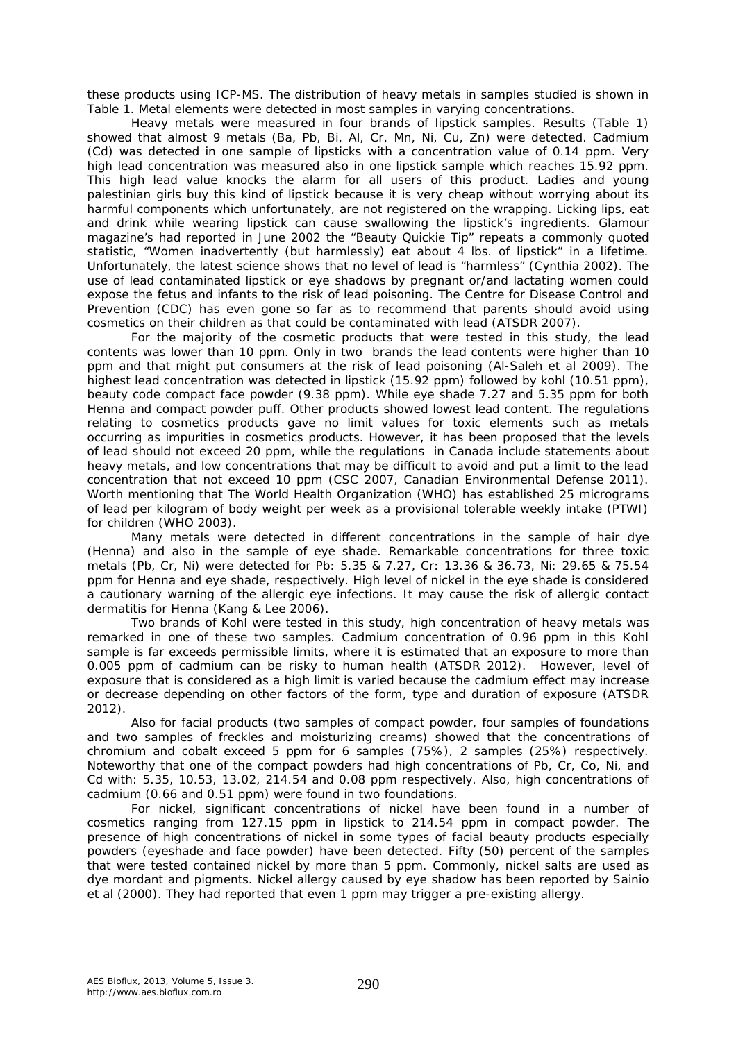these products using ICP-MS. The distribution of heavy metals in samples studied is shown in Table 1. Metal elements were detected in most samples in varying concentrations.

Heavy metals were measured in four brands of lipstick samples. Results (Table 1) showed that almost 9 metals (Ba, Pb, Bi, Al, Cr, Mn, Ni, Cu, Zn) were detected. Cadmium (Cd) was detected in one sample of lipsticks with a concentration value of 0.14 ppm. Very high lead concentration was measured also in one lipstick sample which reaches 15.92 ppm. This high lead value knocks the alarm for all users of this product. Ladies and young palestinian girls buy this kind of lipstick because it is very cheap without worrying about its harmful components which unfortunately, are not registered on the wrapping. Licking lips, eat and drink while wearing lipstick can cause swallowing the lipstick's ingredients. Glamour magazine's had reported in June 2002 the "Beauty Quickie Tip" repeats a commonly quoted statistic, "Women inadvertently (but harmlessly) eat about 4 lbs. of lipstick" in a lifetime. Unfortunately, the latest science shows that no level of lead is "harmless" (Cynthia 2002). The use of lead contaminated lipstick or eye shadows by pregnant or/and lactating women could expose the fetus and infants to the risk of lead poisoning. The Centre for Disease Control and Prevention (CDC) has even gone so far as to recommend that parents should avoid using cosmetics on their children as that could be contaminated with lead (ATSDR 2007).

For the majority of the cosmetic products that were tested in this study, the lead contents was lower than 10 ppm. Only in two brands the lead contents were higher than 10 ppm and that might put consumers at the risk of lead poisoning (Al-Saleh et al 2009). The highest lead concentration was detected in lipstick (15.92 ppm) followed by kohl (10.51 ppm), beauty code compact face powder (9.38 ppm). While eye shade 7.27 and 5.35 ppm for both Henna and compact powder puff. Other products showed lowest lead content. The regulations relating to cosmetics products gave no limit values for toxic elements such as metals occurring as impurities in cosmetics products. However, it has been proposed that the levels of lead should not exceed 20 ppm, while the regulations in Canada include statements about heavy metals, and low concentrations that may be difficult to avoid and put a limit to the lead concentration that not exceed 10 ppm (CSC 2007, Canadian Environmental Defense 2011). Worth mentioning that The World Health Organization (WHO) has established 25 micrograms of lead per kilogram of body weight per week as a provisional tolerable weekly intake (PTWI) for children (WHO 2003).

Many metals were detected in different concentrations in the sample of hair dye (Henna) and also in the sample of eye shade. Remarkable concentrations for three toxic metals (Pb, Cr, Ni) were detected for Pb: 5.35 & 7.27, Cr: 13.36 & 36.73, Ni: 29.65 & 75.54 ppm for Henna and eye shade, respectively. High level of nickel in the eye shade is considered a cautionary warning of the allergic eye infections. It may cause the risk of allergic contact dermatitis for Henna (Kang & Lee 2006).

Two brands of Kohl were tested in this study, high concentration of heavy metals was remarked in one of these two samples. Cadmium concentration of 0.96 ppm in this Kohl sample is far exceeds permissible limits, where it is estimated that an exposure to more than 0.005 ppm of cadmium can be risky to human health (ATSDR 2012). However, level of exposure that is considered as a high limit is varied because the cadmium effect may increase or decrease depending on other factors of the form, type and duration of exposure (ATSDR 2012).

Also for facial products (two samples of compact powder, four samples of foundations and two samples of freckles and moisturizing creams) showed that the concentrations of chromium and cobalt exceed 5 ppm for 6 samples (75%), 2 samples (25%) respectively. Noteworthy that one of the compact powders had high concentrations of Pb, Cr, Co, Ni, and Cd with: 5.35, 10.53, 13.02, 214.54 and 0.08 ppm respectively. Also, high concentrations of cadmium (0.66 and 0.51 ppm) were found in two foundations.

For nickel, significant concentrations of nickel have been found in a number of cosmetics ranging from 127.15 ppm in lipstick to 214.54 ppm in compact powder. The presence of high concentrations of nickel in some types of facial beauty products especially powders (eyeshade and face powder) have been detected. Fifty (50) percent of the samples that were tested contained nickel by more than 5 ppm. Commonly, nickel salts are used as dye mordant and pigments. Nickel allergy caused by eye shadow has been reported by Sainio et al (2000). They had reported that even 1 ppm may trigger a pre-existing allergy.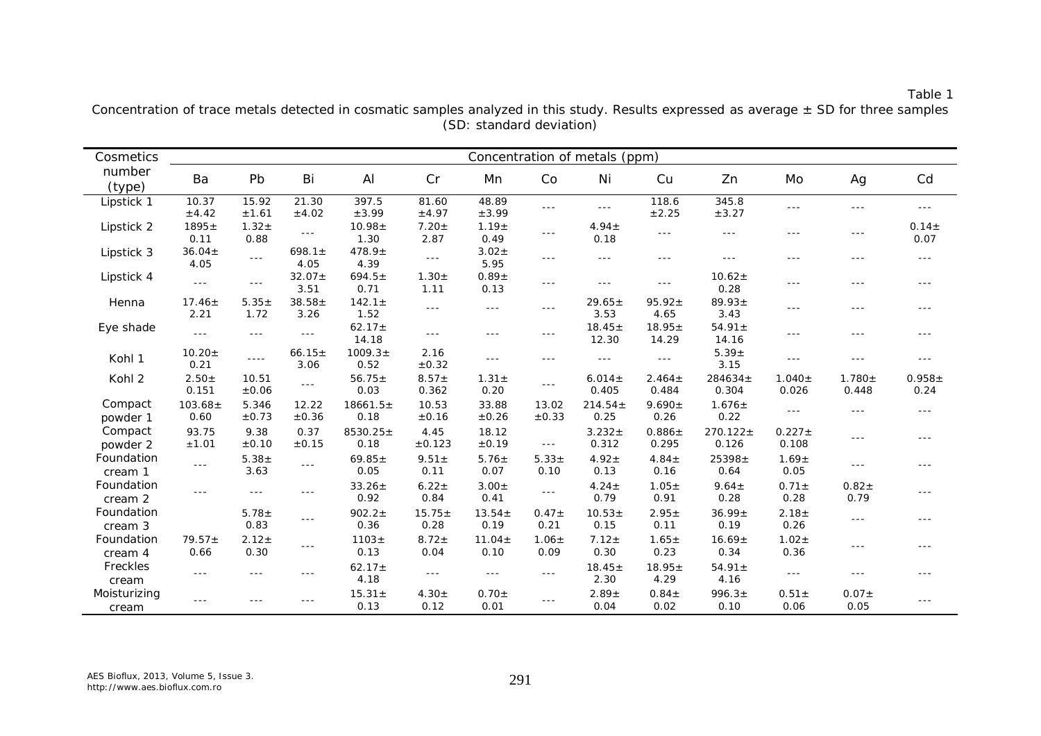### Table 1

| Cosmetics             | Concentration of metals (ppm) |                      |                     |                       |                      |                      |                      |                      |                      |                        |                      |                      |                   |
|-----------------------|-------------------------------|----------------------|---------------------|-----------------------|----------------------|----------------------|----------------------|----------------------|----------------------|------------------------|----------------------|----------------------|-------------------|
| number<br>(type)      | Ba                            | Pb                   | Bi                  | AI                    | Cr                   | Мn                   | Co                   | Ni                   | Cu                   | Zn                     | Mo                   | Ag                   | Cd                |
| Lipstick 1            | 10.37<br>±4.42                | 15.92<br>±1.61       | 21.30<br>$\pm 4.02$ | 397.5<br>±3.99        | 81.60<br>±4.97       | 48.89<br>±3.99       | $- - -$              | $\sim$ $\sim$ $\sim$ | 118.6<br>±2.25       | 345.8<br>±3.27         | $\sim$ $\sim$ $\sim$ | $- - -$              | $- - -$           |
| Lipstick 2            | $1895 \pm$<br>0.11            | $1.32 +$<br>0.88     | $\sim$              | $10.98 \pm$<br>1.30   | $7.20 +$<br>2.87     | $1.19 \pm$<br>0.49   | $- -$                | $4.94 \pm$<br>0.18   | $- - -$              | $\sim$ $\sim$ $\sim$   | $- - -$              | $- - -$              | $0.14 +$<br>0.07  |
| Lipstick 3            | $36.04 \pm$<br>4.05           | $\overline{a}$       | 698.1 $\pm$<br>4.05 | $478.9 \pm$<br>4.39   | $\sim$ $\sim$ $\sim$ | $3.02 +$<br>5.95     | $- - -$              | $\sim$ $\sim$ $\sim$ | $- - -$              | $- - -$                | $- - -$              | $- - -$              | $- - -$           |
| Lipstick 4            | $- - -$                       | $\sim$ $\sim$ $\sim$ | $32.07 +$<br>3.51   | $694.5 \pm$<br>0.71   | $1.30 +$<br>1.11     | $0.89 +$<br>0.13     | $\sim$ $\sim$ $\sim$ | $- - -$              | $- - -$              | $10.62 \pm$<br>0.28    | $- - -$              | $- - -$              | $- - -$           |
| Henna                 | $17.46 \pm$<br>2.21           | $5.35 \pm$<br>1.72   | $38.58 \pm$<br>3.26 | $142.1 \pm$<br>1.52   | $\frac{1}{2}$        | $\sim$ $\sim$ $\sim$ | $- - -$              | $29.65 \pm$<br>3.53  | $95.92 \pm$<br>4.65  | $89.93 \pm$<br>3.43    | $\frac{1}{2}$        | $- - -$              | $- - -$           |
| Eye shade             | $- - -$                       | $\sim$ $\sim$ $\sim$ | $- - -$             | $62.17 \pm$<br>14.18  | $\sim$ $\sim$ $\sim$ | $\frac{1}{2}$        | $- - -$              | $18.45 \pm$<br>12.30 | $18.95 \pm$<br>14.29 | $54.91 \pm$<br>14.16   | $- - -$              | $- - -$              | $- - -$           |
| Kohl 1                | $10.20 \pm$<br>0.21           |                      | $66.15 \pm$<br>3.06 | $1009.3 \pm$<br>0.52  | 2.16<br>$\pm 0.32$   | $\sim$ $\sim$ $\sim$ | $- - -$              | $- - -$              | $\sim$ $\sim$ $\sim$ | $5.39 +$<br>3.15       | $\sim$ $\sim$ $\sim$ |                      | ---               |
| Kohl 2                | $2.50 +$<br>0.151             | 10.51<br>±0.06       | $- - -$             | $56.75 \pm$<br>0.03   | $8.57 +$<br>0.362    | $1.31 \pm$<br>0.20   | $- - -$              | $6.014 \pm$<br>0.405 | $2.464 \pm$<br>0.484 | $284634 \pm$<br>0.304  | $1.040 \pm$<br>0.026 | $1.780 +$<br>0.448   | $0.958 +$<br>0.24 |
| Compact<br>powder 1   | $103.68 \pm$<br>0.60          | 5.346<br>±0.73       | 12.22<br>±0.36      | $18661.5 \pm$<br>0.18 | 10.53<br>±0.16       | 33.88<br>±0.26       | 13.02<br>±0.33       | $214.54 \pm$<br>0.25 | $9.690 \pm$<br>0.26  | $1.676 \pm$<br>0.22    | $\sim$ $\sim$ $\sim$ |                      | $- - -$           |
| Compact<br>powder 2   | 93.75<br>$\pm 1.01$           | 9.38<br>±0.10        | 0.37<br>±0.15       | $8530.25 \pm$<br>0.18 | 4.45<br>±0.123       | 18.12<br>±0.19       | $\sim$ $\sim$ $\sim$ | $3.232 +$<br>0.312   | $0.886 +$<br>0.295   | $270.122 \pm$<br>0.126 | $0.227 \pm$<br>0.108 | $- - -$              | $- - -$           |
| Foundation<br>cream 1 | $- - -$                       | $5.38 +$<br>3.63     | $- - -$             | $69.85 \pm$<br>0.05   | $9.51 \pm$<br>0.11   | $5.76 \pm$<br>0.07   | $5.33 +$<br>0.10     | $4.92 +$<br>0.13     | $4.84 \pm$<br>0.16   | $25398 +$<br>0.64      | $1.69 +$<br>0.05     | $\sim$ $\sim$ $\sim$ | $- - -$           |
| Foundation<br>cream 2 | $- - -$                       | $\sim$ $\sim$ $\sim$ | $- - -$             | $33.26 \pm$<br>0.92   | $6.22 +$<br>0.84     | $3.00 \pm$<br>0.41   | $\sim$ $\sim$ $\sim$ | $4.24 +$<br>0.79     | $1.05 \pm$<br>0.91   | $9.64 \pm$<br>0.28     | $0.71 \pm$<br>0.28   | $0.82 +$<br>0.79     | $- - -$           |
| Foundation<br>cream 3 |                               | $5.78 \pm$<br>0.83   | $- - -$             | $902.2 \pm$<br>0.36   | $15.75 \pm$<br>0.28  | $13.54 \pm$<br>0.19  | $0.47 \pm$<br>0.21   | $10.53 +$<br>0.15    | $2.95 \pm$<br>0.11   | $36.99 \pm$<br>0.19    | $2.18 +$<br>0.26     | $\sim$ $\sim$ $\sim$ | $- - -$           |
| Foundation<br>cream 4 | $79.57 \pm$<br>0.66           | $2.12 +$<br>0.30     | $- - -$             | $1103 +$<br>0.13      | $8.72 +$<br>0.04     | $11.04 \pm$<br>0.10  | $1.06 \pm$<br>0.09   | $7.12 \pm$<br>0.30   | $1.65 \pm$<br>0.23   | $16.69 \pm$<br>0.34    | $1.02 +$<br>0.36     | $\sim$ $\sim$ $\sim$ | $- - -$           |
| Freckles<br>cream     | $- - -$                       | $- - -$              | $- - -$             | $62.17 \pm$<br>4.18   | $\sim$ $\sim$ $\sim$ | $\sim$ $\sim$ $\sim$ | $- - -$              | $18.45 \pm$<br>2.30  | $18.95 \pm$<br>4.29  | $54.91 \pm$<br>4.16    | $\sim$ $\sim$ $\sim$ |                      | $- - -$           |
| Moisturizing<br>cream | $- - -$                       |                      |                     | $15.31 \pm$<br>0.13   | $4.30 \pm$<br>0.12   | $0.70 \pm$<br>0.01   |                      | $2.89 +$<br>0.04     | $0.84 \pm$<br>0.02   | $996.3+$<br>0.10       | $0.51 \pm$<br>0.06   | $0.07 +$<br>0.05     | $--$              |

Concentration of trace metals detected in cosmatic samples analyzed in this study. Results expressed as average  $\pm$  SD for three samples (SD: standard deviation)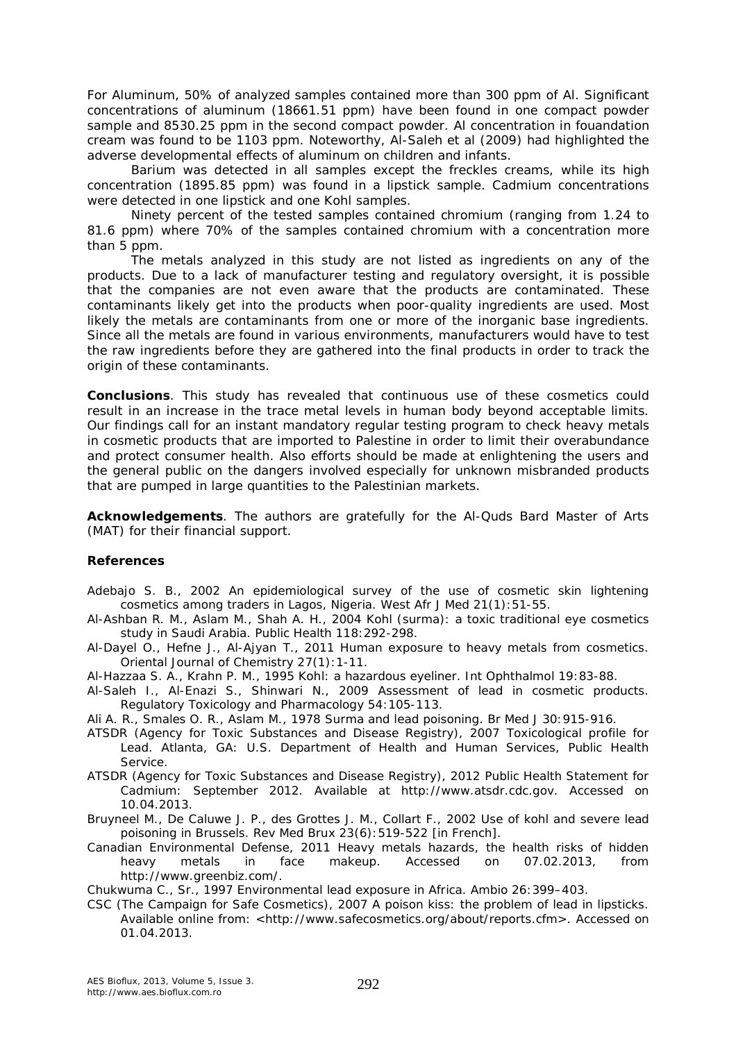For Aluminum, 50% of analyzed samples contained more than 300 ppm of Al. Significant concentrations of aluminum (18661.51 ppm) have been found in one compact powder sample and 8530.25 ppm in the second compact powder. Al concentration in fouandation cream was found to be 1103 ppm. Noteworthy, Al-Saleh et al (2009) had highlighted the adverse developmental effects of aluminum on children and infants.

Barium was detected in all samples except the freckles creams, while its high concentration (1895.85 ppm) was found in a lipstick sample. Cadmium concentrations were detected in one lipstick and one Kohl samples.

Ninety percent of the tested samples contained chromium (ranging from 1.24 to 81.6 ppm) where 70% of the samples contained chromium with a concentration more than 5 ppm.

The metals analyzed in this study are not listed as ingredients on any of the products. Due to a lack of manufacturer testing and regulatory oversight, it is possible that the companies are not even aware that the products are contaminated. These contaminants likely get into the products when poor-quality ingredients are used. Most likely the metals are contaminants from one or more of the inorganic base ingredients. Since all the metals are found in various environments, manufacturers would have to test the raw ingredients before they are gathered into the final products in order to track the origin of these contaminants.

**Conclusions**. This study has revealed that continuous use of these cosmetics could result in an increase in the trace metal levels in human body beyond acceptable limits. Our findings call for an instant mandatory regular testing program to check heavy metals in cosmetic products that are imported to Palestine in order to limit their overabundance and protect consumer health. Also efforts should be made at enlightening the users and the general public on the dangers involved especially for unknown misbranded products that are pumped in large quantities to the Palestinian markets.

**Acknowledgements**. The authors are gratefully for the Al-Quds Bard Master of Arts (MAT) for their financial support.

#### **References**

- Adebajo S. B., 2002 An epidemiological survey of the use of cosmetic skin lightening cosmetics among traders in Lagos, Nigeria. West Afr J Med 21(1):51-55.
- Al-Ashban R. M., Aslam M., Shah A. H., 2004 Kohl (surma): a toxic traditional eye cosmetics study in Saudi Arabia. Public Health 118:292-298.
- Al-Dayel O., Hefne J., Al-Ajyan T., 2011 Human exposure to heavy metals from cosmetics. Oriental Journal of Chemistry 27(1):1-11.
- Al-Hazzaa S. A., Krahn P. M., 1995 Kohl: a hazardous eyeliner. Int Ophthalmol 19:83-88.
- Al-Saleh I., Al-Enazi S., Shinwari N., 2009 Assessment of lead in cosmetic products. Regulatory Toxicology and Pharmacology 54:105-113.
- Ali A. R., Smales O. R., Aslam M., 1978 Surma and lead poisoning. Br Med J 30:915-916.
- ATSDR (Agency for Toxic Substances and Disease Registry), 2007 Toxicological profile for Lead. Atlanta, GA: U.S. Department of Health and Human Services, Public Health Service.
- ATSDR (Agency for Toxic Substances and Disease Registry), 2012 Public Health Statement for Cadmium: September 2012. Available at http://www.atsdr.cdc.gov. Accessed on 10.04.2013.
- Bruyneel M., De Caluwe J. P., des Grottes J. M., Collart F., 2002 Use of kohl and severe lead poisoning in Brussels. Rev Med Brux 23(6):519-522 [in French].
- Canadian Environmental Defense, 2011 Heavy metals hazards, the health risks of hidden heavy metals in face makeup. Accessed on 07.02.2013, from http://www.greenbiz.com/.

Chukwuma C., Sr., 1997 Environmental lead exposure in Africa. Ambio 26:399–403.

CSC (The Campaign for Safe Cosmetics), 2007 A poison kiss: the problem of lead in lipsticks. Available online from: <http://www.safecosmetics.org/about/reports.cfm>. Accessed on 01.04.2013.